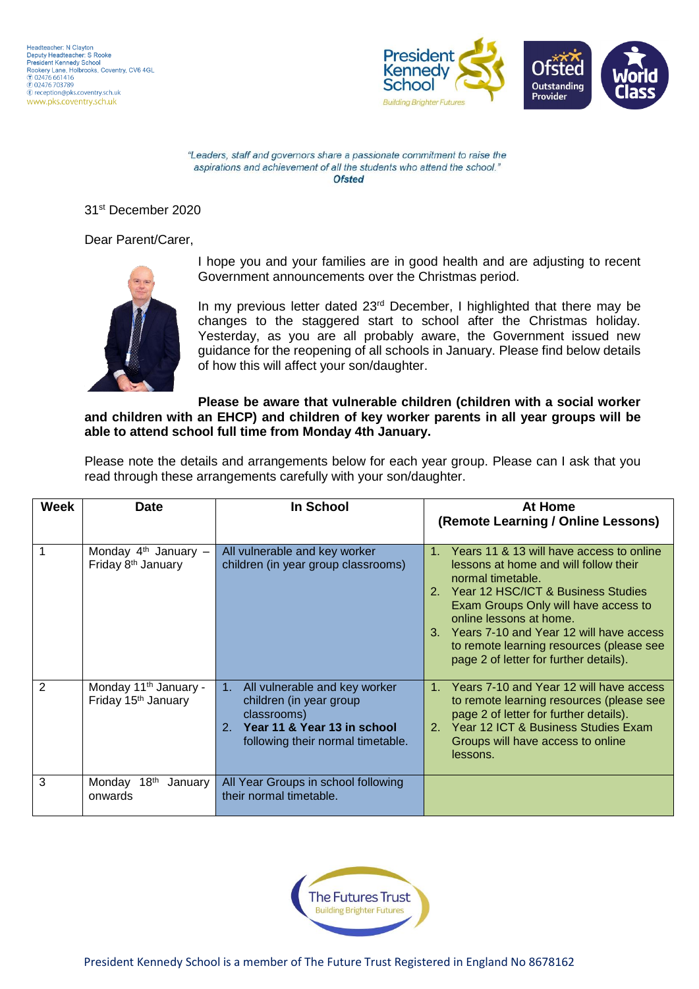

31st December 2020

Dear Parent/Carer,



I hope you and your families are in good health and are adjusting to recent Government announcements over the Christmas period.

In my previous letter dated 23<sup>rd</sup> December, I highlighted that there may be changes to the staggered start to school after the Christmas holiday. Yesterday, as you are all probably aware, the Government issued new guidance for the reopening of all schools in January. Please find below details of how this will affect your son/daughter.

#### **Please be aware that vulnerable children (children with a social worker and children with an EHCP) and children of key worker parents in all year groups will be able to attend school full time from Monday 4th January.**

Please note the details and arrangements below for each year group. Please can I ask that you read through these arrangements carefully with your son/daughter.

| <b>Week</b>    | Date                                                                 | In School                                                                                                                                            | At Home<br>(Remote Learning / Online Lessons)                                                                                                                                                                                                                                                                                                          |  |
|----------------|----------------------------------------------------------------------|------------------------------------------------------------------------------------------------------------------------------------------------------|--------------------------------------------------------------------------------------------------------------------------------------------------------------------------------------------------------------------------------------------------------------------------------------------------------------------------------------------------------|--|
|                | Monday $4th$ January -<br>Friday 8 <sup>th</sup> January             | All vulnerable and key worker<br>children (in year group classrooms)                                                                                 | Years 11 & 13 will have access to online<br>lessons at home and will follow their<br>normal timetable.<br>2. Year 12 HSC/ICT & Business Studies<br>Exam Groups Only will have access to<br>online lessons at home.<br>3. Years 7-10 and Year 12 will have access<br>to remote learning resources (please see<br>page 2 of letter for further details). |  |
| $\overline{2}$ | Monday 11 <sup>th</sup> January -<br>Friday 15 <sup>th</sup> January | All vulnerable and key worker<br>1.<br>children (in year group<br>classrooms)<br>2. Year 11 & Year 13 in school<br>following their normal timetable. | Years 7-10 and Year 12 will have access<br>to remote learning resources (please see<br>page 2 of letter for further details).<br>2. Year 12 ICT & Business Studies Exam<br>Groups will have access to online<br>lessons.                                                                                                                               |  |
| 3              | 18 <sup>th</sup><br>Monday<br>January<br>onwards                     | All Year Groups in school following<br>their normal timetable.                                                                                       |                                                                                                                                                                                                                                                                                                                                                        |  |

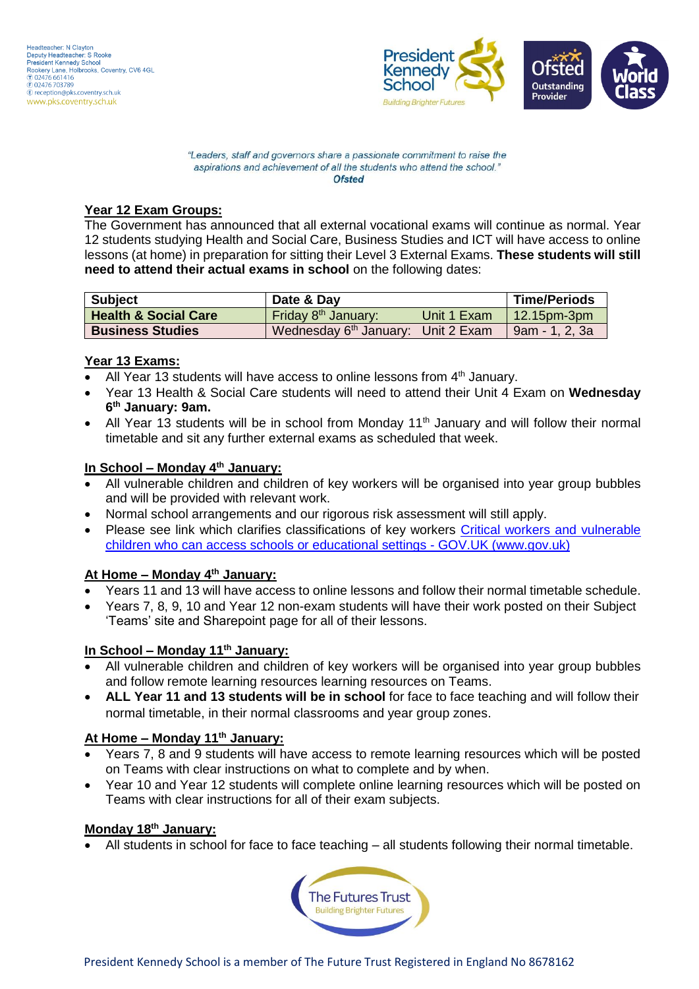

#### **Year 12 Exam Groups:**

The Government has announced that all external vocational exams will continue as normal. Year 12 students studying Health and Social Care, Business Studies and ICT will have access to online lessons (at home) in preparation for sitting their Level 3 External Exams. **These students will still need to attend their actual exams in school** on the following dates:

| <b>Subject</b>                  | Date & Day                                     |             | <b>Time/Periods</b> |
|---------------------------------|------------------------------------------------|-------------|---------------------|
| <b>Health &amp; Social Care</b> | Friday 8 <sup>th</sup> January:                | Unit 1 Exam | $\mid$ 12.15pm-3pm  |
| <b>Business Studies</b>         | Wednesday 6 <sup>th</sup> January: Unit 2 Exam |             | 9am - 1. 2. 3a      |

## **Year 13 Exams:**

- All Year 13 students will have access to online lessons from  $4<sup>th</sup>$  January.
- Year 13 Health & Social Care students will need to attend their Unit 4 Exam on **Wednesday 6 th January: 9am.**
- All Year 13 students will be in school from Monday 11<sup>th</sup> January and will follow their normal timetable and sit any further external exams as scheduled that week.

## **In School – Monday 4 th January:**

- All vulnerable children and children of key workers will be organised into year group bubbles and will be provided with relevant work.
- Normal school arrangements and our rigorous risk assessment will still apply.
- Please see link which clarifies classifications of key workers [Critical workers and vulnerable](https://www.gov.uk/government/publications/coronavirus-covid-19-maintaining-educational-provision/guidance-for-schools-colleges-and-local-authorities-on-maintaining-educational-provision#critical-workers)  [children who can access schools or educational settings -](https://www.gov.uk/government/publications/coronavirus-covid-19-maintaining-educational-provision/guidance-for-schools-colleges-and-local-authorities-on-maintaining-educational-provision#critical-workers) GOV.UK (www.gov.uk)

#### **At Home – Monday 4th January:**

- Years 11 and 13 will have access to online lessons and follow their normal timetable schedule.
- Years 7, 8, 9, 10 and Year 12 non-exam students will have their work posted on their Subject 'Teams' site and Sharepoint page for all of their lessons.

## **In School – Monday 11th January:**

- All vulnerable children and children of key workers will be organised into year group bubbles and follow remote learning resources learning resources on Teams.
- **ALL Year 11 and 13 students will be in school** for face to face teaching and will follow their normal timetable, in their normal classrooms and year group zones.

#### **At Home – Monday 11th January:**

- Years 7, 8 and 9 students will have access to remote learning resources which will be posted on Teams with clear instructions on what to complete and by when.
- Year 10 and Year 12 students will complete online learning resources which will be posted on Teams with clear instructions for all of their exam subjects.

# **Monday 18th January:**

All students in school for face to face teaching – all students following their normal timetable.

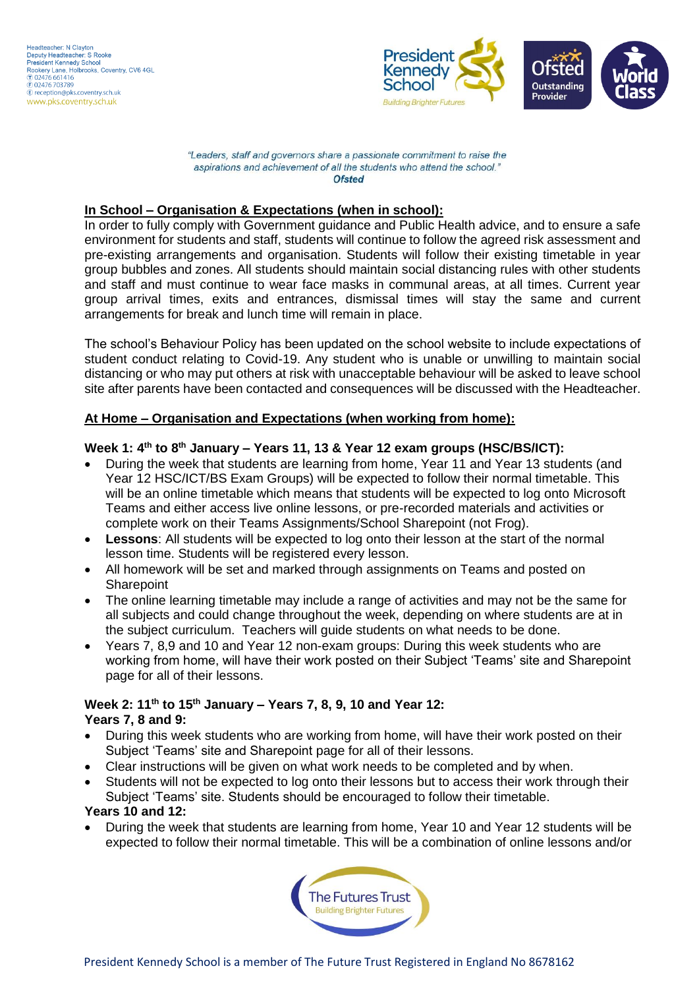

## **In School – Organisation & Expectations (when in school):**

In order to fully comply with Government guidance and Public Health advice, and to ensure a safe environment for students and staff, students will continue to follow the agreed risk assessment and pre-existing arrangements and organisation. Students will follow their existing timetable in year group bubbles and zones. All students should maintain social distancing rules with other students and staff and must continue to wear face masks in communal areas, at all times. Current year group arrival times, exits and entrances, dismissal times will stay the same and current arrangements for break and lunch time will remain in place.

The school's Behaviour Policy has been updated on the school website to include expectations of student conduct relating to Covid-19. Any student who is unable or unwilling to maintain social distancing or who may put others at risk with unacceptable behaviour will be asked to leave school site after parents have been contacted and consequences will be discussed with the Headteacher.

#### **At Home – Organisation and Expectations (when working from home):**

#### Week 1: 4<sup>th</sup> to 8<sup>th</sup> January – Years 11, 13 & Year 12 exam groups (HSC/BS/ICT):

- During the week that students are learning from home, Year 11 and Year 13 students (and Year 12 HSC/ICT/BS Exam Groups) will be expected to follow their normal timetable. This will be an online timetable which means that students will be expected to log onto Microsoft Teams and either access live online lessons, or pre-recorded materials and activities or complete work on their Teams Assignments/School Sharepoint (not Frog).
- **Lessons**: All students will be expected to log onto their lesson at the start of the normal lesson time. Students will be registered every lesson.
- All homework will be set and marked through assignments on Teams and posted on **Sharepoint**
- The online learning timetable may include a range of activities and may not be the same for all subjects and could change throughout the week, depending on where students are at in the subject curriculum. Teachers will guide students on what needs to be done.
- Years 7, 8,9 and 10 and Year 12 non-exam groups: During this week students who are working from home, will have their work posted on their Subject 'Teams' site and Sharepoint page for all of their lessons.

#### **Week 2: 11th to 15th January – Years 7, 8, 9, 10 and Year 12: Years 7, 8 and 9:**

- During this week students who are working from home, will have their work posted on their Subject 'Teams' site and Sharepoint page for all of their lessons.
- Clear instructions will be given on what work needs to be completed and by when.
- Students will not be expected to log onto their lessons but to access their work through their Subject 'Teams' site. Students should be encouraged to follow their timetable.

#### **Years 10 and 12:**

 During the week that students are learning from home, Year 10 and Year 12 students will be expected to follow their normal timetable. This will be a combination of online lessons and/or

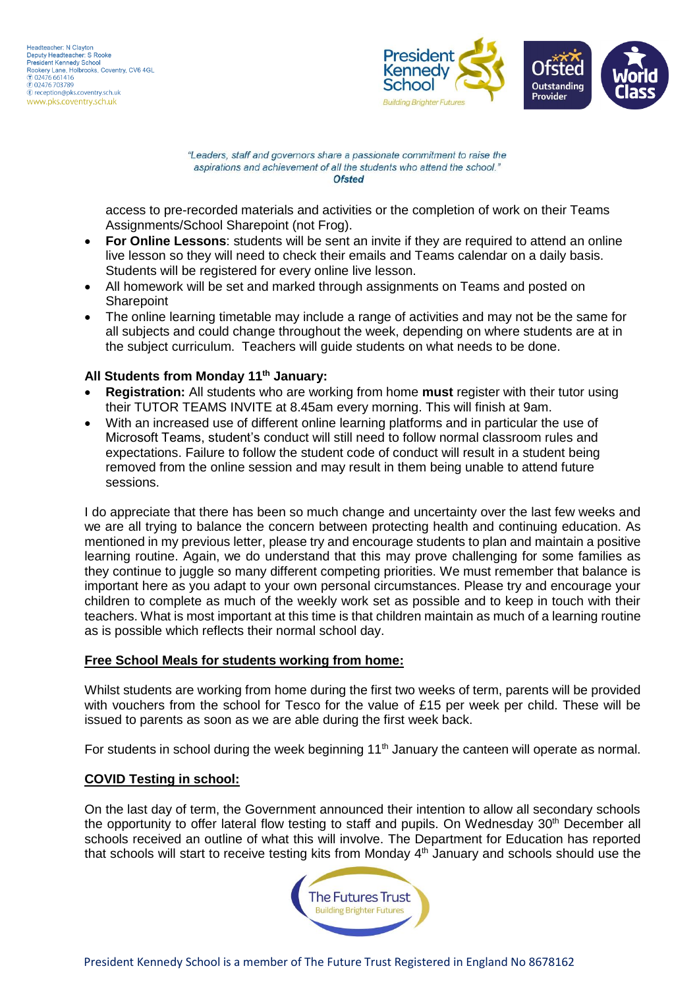

access to pre-recorded materials and activities or the completion of work on their Teams Assignments/School Sharepoint (not Frog).

- **For Online Lessons**: students will be sent an invite if they are required to attend an online live lesson so they will need to check their emails and Teams calendar on a daily basis. Students will be registered for every online live lesson.
- All homework will be set and marked through assignments on Teams and posted on **Sharepoint**
- The online learning timetable may include a range of activities and may not be the same for all subjects and could change throughout the week, depending on where students are at in the subject curriculum. Teachers will guide students on what needs to be done.

#### **All Students from Monday 11th January:**

- **Registration:** All students who are working from home **must** register with their tutor using their TUTOR TEAMS INVITE at 8.45am every morning. This will finish at 9am.
- With an increased use of different online learning platforms and in particular the use of Microsoft Teams, student's conduct will still need to follow normal classroom rules and expectations. Failure to follow the student code of conduct will result in a student being removed from the online session and may result in them being unable to attend future sessions.

I do appreciate that there has been so much change and uncertainty over the last few weeks and we are all trying to balance the concern between protecting health and continuing education. As mentioned in my previous letter, please try and encourage students to plan and maintain a positive learning routine. Again, we do understand that this may prove challenging for some families as they continue to juggle so many different competing priorities. We must remember that balance is important here as you adapt to your own personal circumstances. Please try and encourage your children to complete as much of the weekly work set as possible and to keep in touch with their teachers. What is most important at this time is that children maintain as much of a learning routine as is possible which reflects their normal school day.

#### **Free School Meals for students working from home:**

Whilst students are working from home during the first two weeks of term, parents will be provided with vouchers from the school for Tesco for the value of £15 per week per child. These will be issued to parents as soon as we are able during the first week back.

For students in school during the week beginning  $11<sup>th</sup>$  January the canteen will operate as normal.

#### **COVID Testing in school:**

On the last day of term, the Government announced their intention to allow all secondary schools the opportunity to offer lateral flow testing to staff and pupils. On Wednesday 30<sup>th</sup> December all schools received an outline of what this will involve. The Department for Education has reported that schools will start to receive testing kits from Monday 4<sup>th</sup> January and schools should use the